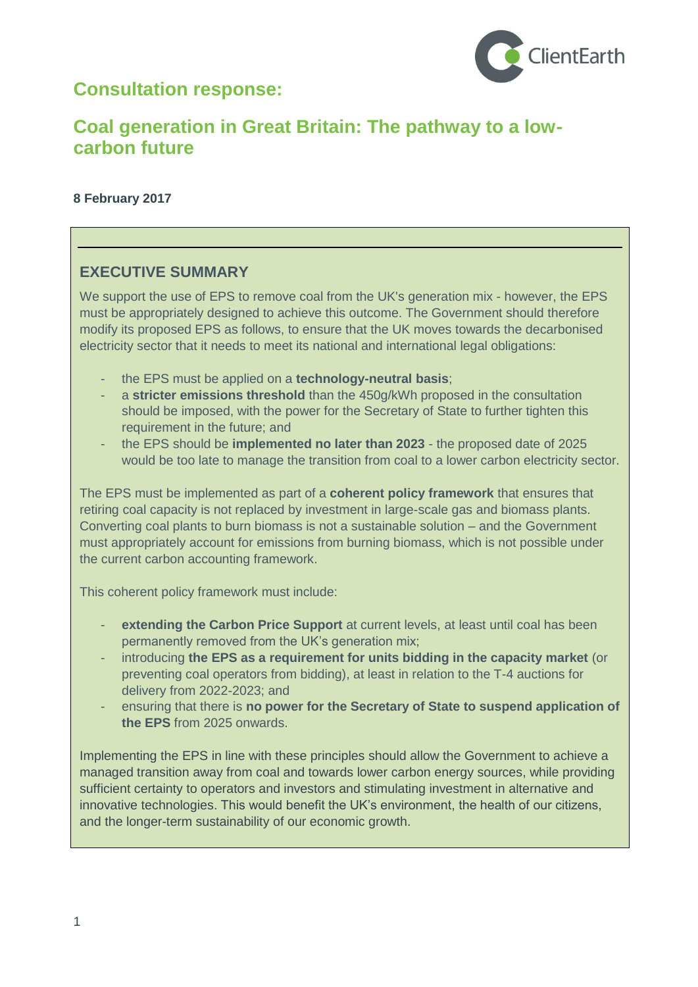# **Consultation response:**



# **Coal generation in Great Britain: The pathway to a lowcarbon future**

## **8 February 2017**

# **EXECUTIVE SUMMARY**

We support the use of EPS to remove coal from the UK's generation mix - however, the EPS must be appropriately designed to achieve this outcome. The Government should therefore modify its proposed EPS as follows, to ensure that the UK moves towards the decarbonised electricity sector that it needs to meet its national and international legal obligations:

- the EPS must be applied on a **technology-neutral basis**;
- a **stricter emissions threshold** than the 450g/kWh proposed in the consultation should be imposed, with the power for the Secretary of State to further tighten this requirement in the future; and
- the EPS should be **implemented no later than 2023** the proposed date of 2025 would be too late to manage the transition from coal to a lower carbon electricity sector.

The EPS must be implemented as part of a **coherent policy framework** that ensures that retiring coal capacity is not replaced by investment in large-scale gas and biomass plants. Converting coal plants to burn biomass is not a sustainable solution – and the Government must appropriately account for emissions from burning biomass, which is not possible under the current carbon accounting framework.

This coherent policy framework must include:

- extending the Carbon Price Support at current levels, at least until coal has been permanently removed from the UK's generation mix;
- introducing **the EPS as a requirement for units bidding in the capacity market** (or preventing coal operators from bidding), at least in relation to the T-4 auctions for delivery from 2022-2023; and
- ensuring that there is **no power for the Secretary of State to suspend application of the EPS** from 2025 onwards.

Implementing the EPS in line with these principles should allow the Government to achieve a managed transition away from coal and towards lower carbon energy sources, while providing sufficient certainty to operators and investors and stimulating investment in alternative and innovative technologies. This would benefit the UK's environment, the health of our citizens, and the longer-term sustainability of our economic growth.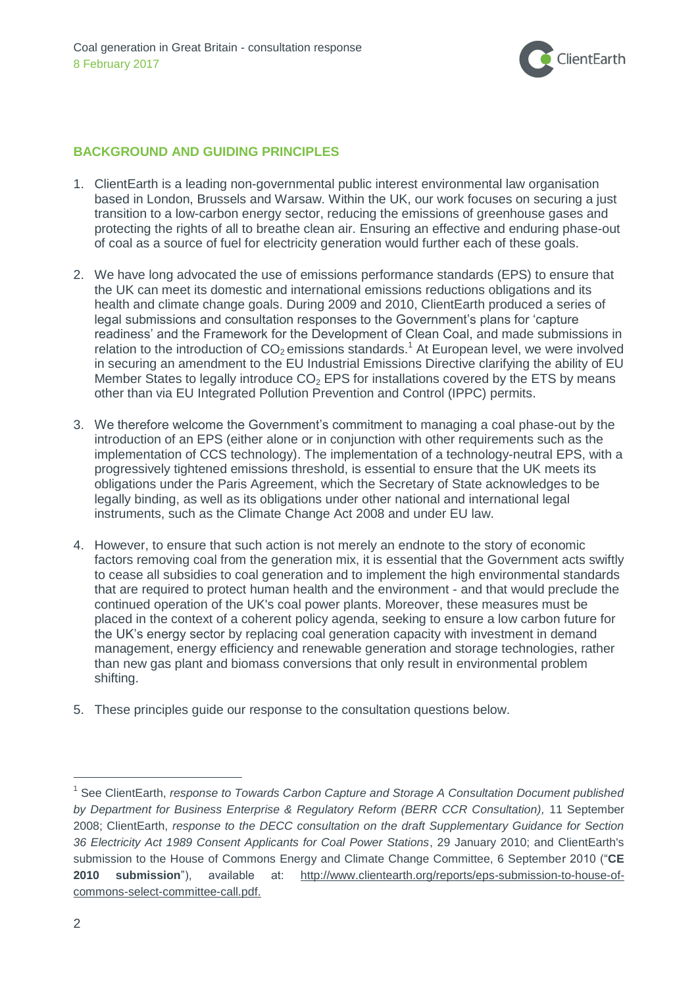

## **BACKGROUND AND GUIDING PRINCIPLES**

- 1. ClientEarth is a leading non-governmental public interest environmental law organisation based in London, Brussels and Warsaw. Within the UK, our work focuses on securing a just transition to a low-carbon energy sector, reducing the emissions of greenhouse gases and protecting the rights of all to breathe clean air. Ensuring an effective and enduring phase-out of coal as a source of fuel for electricity generation would further each of these goals.
- 2. We have long advocated the use of emissions performance standards (EPS) to ensure that the UK can meet its domestic and international emissions reductions obligations and its health and climate change goals. During 2009 and 2010, ClientEarth produced a series of legal submissions and consultation responses to the Government's plans for 'capture readiness' and the Framework for the Development of Clean Coal, and made submissions in relation to the introduction of  $CO<sub>2</sub>$  emissions standards.<sup>1</sup> At European level, we were involved in securing an amendment to the EU Industrial Emissions Directive clarifying the ability of EU Member States to legally introduce  $CO<sub>2</sub>$  EPS for installations covered by the ETS by means other than via EU Integrated Pollution Prevention and Control (IPPC) permits.
- 3. We therefore welcome the Government's commitment to managing a coal phase-out by the introduction of an EPS (either alone or in conjunction with other requirements such as the implementation of CCS technology). The implementation of a technology-neutral EPS, with a progressively tightened emissions threshold, is essential to ensure that the UK meets its obligations under the Paris Agreement, which the Secretary of State acknowledges to be legally binding, as well as its obligations under other national and international legal instruments, such as the Climate Change Act 2008 and under EU law.
- 4. However, to ensure that such action is not merely an endnote to the story of economic factors removing coal from the generation mix, it is essential that the Government acts swiftly to cease all subsidies to coal generation and to implement the high environmental standards that are required to protect human health and the environment - and that would preclude the continued operation of the UK's coal power plants. Moreover, these measures must be placed in the context of a coherent policy agenda, seeking to ensure a low carbon future for the UK's energy sector by replacing coal generation capacity with investment in demand management, energy efficiency and renewable generation and storage technologies, rather than new gas plant and biomass conversions that only result in environmental problem shifting.
- 5. These principles guide our response to the consultation questions below.

<sup>&</sup>lt;sup>1</sup> See ClientEarth, *response to Towards Carbon Capture and Storage A Consultation Document published by Department for Business Enterprise & Regulatory Reform (BERR CCR Consultation),* 11 September 2008; ClientEarth, *response to the DECC consultation on the draft Supplementary Guidance for Section 36 Electricity Act 1989 Consent Applicants for Coal Power Stations*, 29 January 2010; and ClientEarth's submission to the House of Commons Energy and Climate Change Committee, 6 September 2010 ("**CE 2010 submission**"), available at: [http://www.clientearth.org/reports/eps-submission-to-house-of](http://www.clientearth.org/reports/eps-submission-to-house-of-commons-select-committee-call.pdf)[commons-select-committee-call.pdf.](http://www.clientearth.org/reports/eps-submission-to-house-of-commons-select-committee-call.pdf)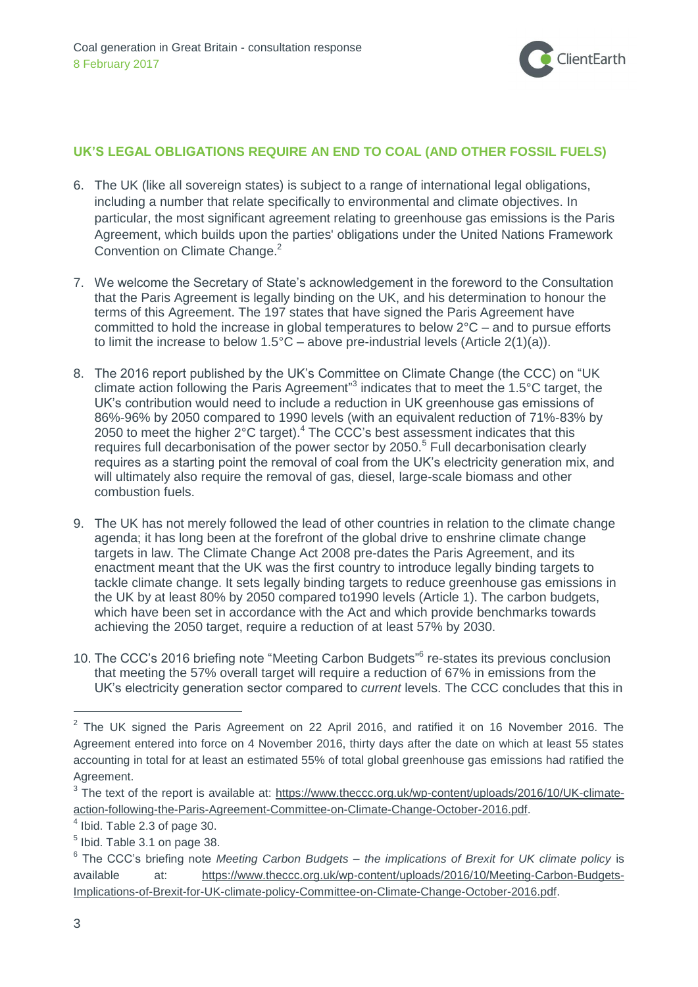

## **UK'S LEGAL OBLIGATIONS REQUIRE AN END TO COAL (AND OTHER FOSSIL FUELS)**

- 6. The UK (like all sovereign states) is subject to a range of international legal obligations, including a number that relate specifically to environmental and climate objectives. In particular, the most significant agreement relating to greenhouse gas emissions is the Paris Agreement, which builds upon the parties' obligations under the United Nations Framework Convention on Climate Change. 2
- 7. We welcome the Secretary of State's acknowledgement in the foreword to the Consultation that the Paris Agreement is legally binding on the UK, and his determination to honour the terms of this Agreement. The 197 states that have signed the Paris Agreement have committed to hold the increase in global temperatures to below 2°C – and to pursue efforts to limit the increase to below  $1.5^{\circ}$ C – above pre-industrial levels (Article 2(1)(a)).
- 8. The 2016 report published by the UK's Committee on Climate Change (the CCC) on "UK climate action following the Paris Agreement<sup>33</sup> indicates that to meet the 1.5 $\degree$ C target, the UK's contribution would need to include a reduction in UK greenhouse gas emissions of 86%-96% by 2050 compared to 1990 levels (with an equivalent reduction of 71%-83% by 2050 to meet the higher  $2^{\circ}$ C target).<sup>4</sup> The CCC's best assessment indicates that this requires full decarbonisation of the power sector by 2050.<sup>5</sup> Full decarbonisation clearly requires as a starting point the removal of coal from the UK's electricity generation mix, and will ultimately also require the removal of gas, diesel, large-scale biomass and other combustion fuels.
- 9. The UK has not merely followed the lead of other countries in relation to the climate change agenda; it has long been at the forefront of the global drive to enshrine climate change targets in law. The Climate Change Act 2008 pre-dates the Paris Agreement, and its enactment meant that the UK was the first country to introduce legally binding targets to tackle climate change. It sets legally binding targets to reduce greenhouse gas emissions in the UK by at least 80% by 2050 compared to1990 levels (Article 1). The carbon budgets, which have been set in accordance with the Act and which provide benchmarks towards achieving the 2050 target, require a reduction of at least 57% by 2030.
- 10. The CCC's 2016 briefing note "Meeting Carbon Budgets" 6 re-states its previous conclusion that meeting the 57% overall target will require a reduction of 67% in emissions from the UK's electricity generation sector compared to *current* levels. The CCC concludes that this in

 $2$  The UK signed the Paris Agreement on 22 April 2016, and ratified it on 16 November 2016. The Agreement entered into force on 4 November 2016, thirty days after the date on which at least 55 states accounting in total for at least an estimated 55% of total global greenhouse gas emissions had ratified the Agreement.

<sup>&</sup>lt;sup>3</sup> The text of the report is available at: [https://www.theccc.org.uk/wp-content/uploads/2016/10/UK-climate](https://www.theccc.org.uk/wp-content/uploads/2016/10/UK-climate-action-following-the-Paris-Agreement-Committee-on-Climate-Change-October-2016.pdf)[action-following-the-Paris-Agreement-Committee-on-Climate-Change-October-2016.pdf.](https://www.theccc.org.uk/wp-content/uploads/2016/10/UK-climate-action-following-the-Paris-Agreement-Committee-on-Climate-Change-October-2016.pdf)

 $<sup>4</sup>$  Ibid. Table 2.3 of page 30.</sup>

 $<sup>5</sup>$  Ibid. Table 3.1 on page 38.</sup>

<sup>6</sup> The CCC's briefing note *Meeting Carbon Budgets – the implications of Brexit for UK climate policy* is available at: [https://www.theccc.org.uk/wp-content/uploads/2016/10/Meeting-Carbon-Budgets-](https://www.theccc.org.uk/wp-content/uploads/2016/10/Meeting-Carbon-Budgets-Implications-of-Brexit-for-UK-climate-policy-Committee-on-Climate-Change-October-2016.pdf)[Implications-of-Brexit-for-UK-climate-policy-Committee-on-Climate-Change-October-2016.pdf.](https://www.theccc.org.uk/wp-content/uploads/2016/10/Meeting-Carbon-Budgets-Implications-of-Brexit-for-UK-climate-policy-Committee-on-Climate-Change-October-2016.pdf)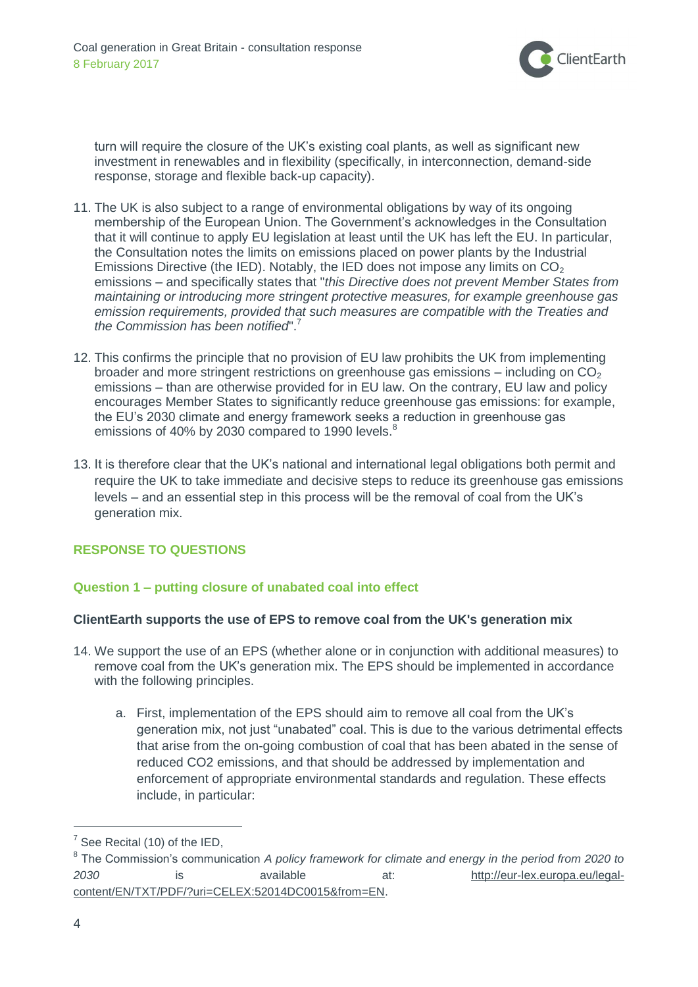

turn will require the closure of the UK's existing coal plants, as well as significant new investment in renewables and in flexibility (specifically, in interconnection, demand-side response, storage and flexible back-up capacity).

- 11. The UK is also subject to a range of environmental obligations by way of its ongoing membership of the European Union. The Government's acknowledges in the Consultation that it will continue to apply EU legislation at least until the UK has left the EU. In particular, the Consultation notes the limits on emissions placed on power plants by the Industrial Emissions Directive (the IED). Notably, the IED does not impose any limits on  $CO<sub>2</sub>$ emissions – and specifically states that "*this Directive does not prevent Member States from maintaining or introducing more stringent protective measures, for example greenhouse gas emission requirements, provided that such measures are compatible with the Treaties and the Commission has been notified*". 7
- 12. This confirms the principle that no provision of EU law prohibits the UK from implementing broader and more stringent restrictions on greenhouse gas emissions – including on  $CO<sub>2</sub>$ emissions – than are otherwise provided for in EU law. On the contrary, EU law and policy encourages Member States to significantly reduce greenhouse gas emissions: for example, the EU's 2030 climate and energy framework seeks a reduction in greenhouse gas emissions of 40% by 2030 compared to 1990 levels.<sup>8</sup>
- 13. It is therefore clear that the UK's national and international legal obligations both permit and require the UK to take immediate and decisive steps to reduce its greenhouse gas emissions levels – and an essential step in this process will be the removal of coal from the UK's generation mix.

# **RESPONSE TO QUESTIONS**

## **Question 1 – putting closure of unabated coal into effect**

#### **ClientEarth supports the use of EPS to remove coal from the UK's generation mix**

- 14. We support the use of an EPS (whether alone or in conjunction with additional measures) to remove coal from the UK's generation mix. The EPS should be implemented in accordance with the following principles.
	- a. First, implementation of the EPS should aim to remove all coal from the UK's generation mix, not just "unabated" coal. This is due to the various detrimental effects that arise from the on-going combustion of coal that has been abated in the sense of reduced CO2 emissions, and that should be addressed by implementation and enforcement of appropriate environmental standards and regulation. These effects include, in particular:

 $<sup>7</sup>$  See Recital (10) of the IED,</sup>

<sup>8</sup> The Commission's communication *A policy framework for climate and energy in the period from 2020 to 2030* is available at: [http://eur-lex.europa.eu/legal](http://eur-lex.europa.eu/legal-content/EN/TXT/PDF/?uri=CELEX:52014DC0015&from=EN)[content/EN/TXT/PDF/?uri=CELEX:52014DC0015&from=EN.](http://eur-lex.europa.eu/legal-content/EN/TXT/PDF/?uri=CELEX:52014DC0015&from=EN)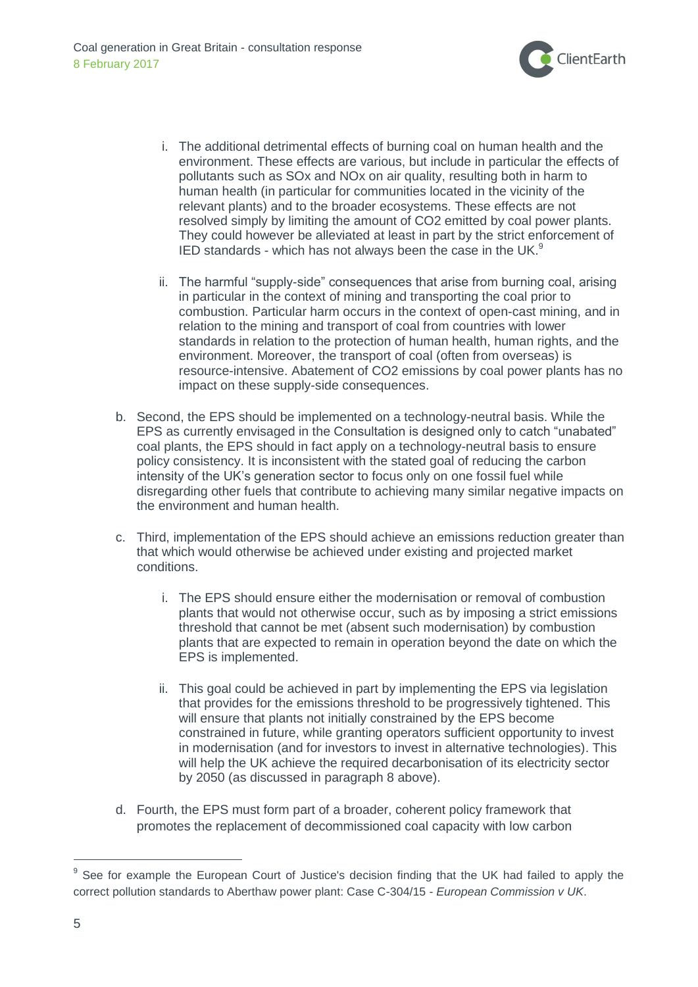

- i. The additional detrimental effects of burning coal on human health and the environment. These effects are various, but include in particular the effects of pollutants such as SOx and NOx on air quality, resulting both in harm to human health (in particular for communities located in the vicinity of the relevant plants) and to the broader ecosystems. These effects are not resolved simply by limiting the amount of CO2 emitted by coal power plants. They could however be alleviated at least in part by the strict enforcement of IED standards - which has not always been the case in the UK.<sup>9</sup>
- ii. The harmful "supply-side" consequences that arise from burning coal, arising in particular in the context of mining and transporting the coal prior to combustion. Particular harm occurs in the context of open-cast mining, and in relation to the mining and transport of coal from countries with lower standards in relation to the protection of human health, human rights, and the environment. Moreover, the transport of coal (often from overseas) is resource-intensive. Abatement of CO2 emissions by coal power plants has no impact on these supply-side consequences.
- b. Second, the EPS should be implemented on a technology-neutral basis. While the EPS as currently envisaged in the Consultation is designed only to catch "unabated" coal plants, the EPS should in fact apply on a technology-neutral basis to ensure policy consistency. It is inconsistent with the stated goal of reducing the carbon intensity of the UK's generation sector to focus only on one fossil fuel while disregarding other fuels that contribute to achieving many similar negative impacts on the environment and human health.
- c. Third, implementation of the EPS should achieve an emissions reduction greater than that which would otherwise be achieved under existing and projected market conditions.
	- i. The EPS should ensure either the modernisation or removal of combustion plants that would not otherwise occur, such as by imposing a strict emissions threshold that cannot be met (absent such modernisation) by combustion plants that are expected to remain in operation beyond the date on which the EPS is implemented.
	- ii. This goal could be achieved in part by implementing the EPS via legislation that provides for the emissions threshold to be progressively tightened. This will ensure that plants not initially constrained by the EPS become constrained in future, while granting operators sufficient opportunity to invest in modernisation (and for investors to invest in alternative technologies). This will help the UK achieve the required decarbonisation of its electricity sector by 2050 (as discussed in paragraph 8 above).
- d. Fourth, the EPS must form part of a broader, coherent policy framework that promotes the replacement of decommissioned coal capacity with low carbon

<sup>&</sup>lt;sup>9</sup> See for example the European Court of Justice's decision finding that the UK had failed to apply the correct pollution standards to Aberthaw power plant: Case C-304/15 *- European Commission v UK*.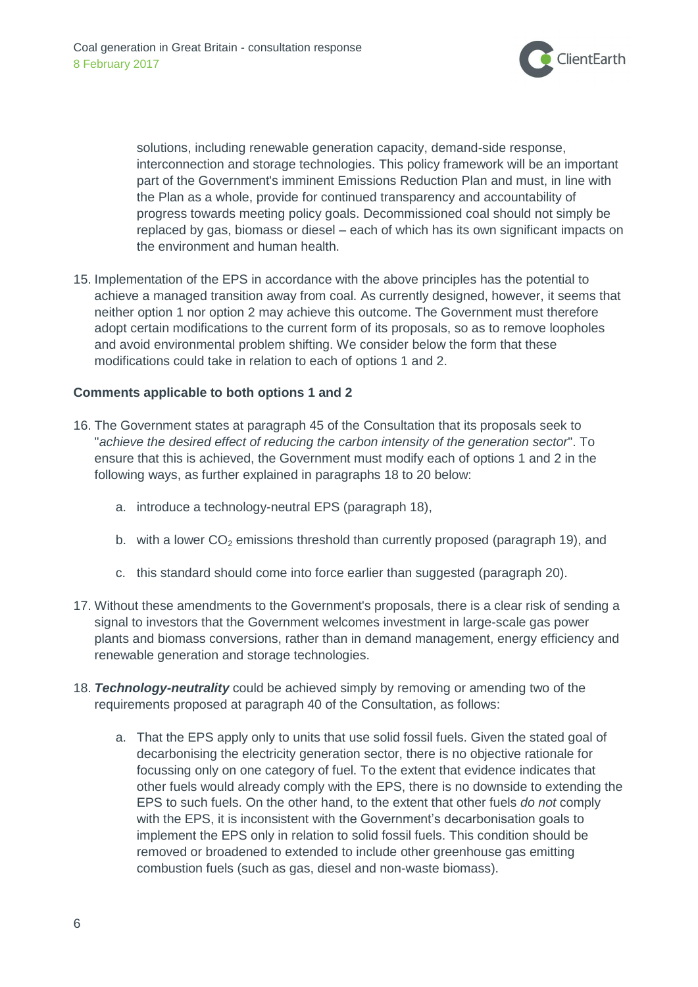

solutions, including renewable generation capacity, demand-side response, interconnection and storage technologies. This policy framework will be an important part of the Government's imminent Emissions Reduction Plan and must, in line with the Plan as a whole, provide for continued transparency and accountability of progress towards meeting policy goals. Decommissioned coal should not simply be replaced by gas, biomass or diesel – each of which has its own significant impacts on the environment and human health.

15. Implementation of the EPS in accordance with the above principles has the potential to achieve a managed transition away from coal. As currently designed, however, it seems that neither option 1 nor option 2 may achieve this outcome. The Government must therefore adopt certain modifications to the current form of its proposals, so as to remove loopholes and avoid environmental problem shifting. We consider below the form that these modifications could take in relation to each of options 1 and 2.

## **Comments applicable to both options 1 and 2**

- 16. The Government states at paragraph 45 of the Consultation that its proposals seek to "*achieve the desired effect of reducing the carbon intensity of the generation sector*". To ensure that this is achieved, the Government must modify each of options 1 and 2 in the following ways, as further explained in paragraphs 18 to 20 below:
	- a. introduce a technology-neutral EPS (paragraph 18),
	- b. with a lower  $CO<sub>2</sub>$  emissions threshold than currently proposed (paragraph 19), and
	- c. this standard should come into force earlier than suggested (paragraph 20).
- 17. Without these amendments to the Government's proposals, there is a clear risk of sending a signal to investors that the Government welcomes investment in large-scale gas power plants and biomass conversions, rather than in demand management, energy efficiency and renewable generation and storage technologies.
- 18. *Technology-neutrality* could be achieved simply by removing or amending two of the requirements proposed at paragraph 40 of the Consultation, as follows:
	- a. That the EPS apply only to units that use solid fossil fuels. Given the stated goal of decarbonising the electricity generation sector, there is no objective rationale for focussing only on one category of fuel. To the extent that evidence indicates that other fuels would already comply with the EPS, there is no downside to extending the EPS to such fuels. On the other hand, to the extent that other fuels *do not* comply with the EPS, it is inconsistent with the Government's decarbonisation goals to implement the EPS only in relation to solid fossil fuels. This condition should be removed or broadened to extended to include other greenhouse gas emitting combustion fuels (such as gas, diesel and non-waste biomass).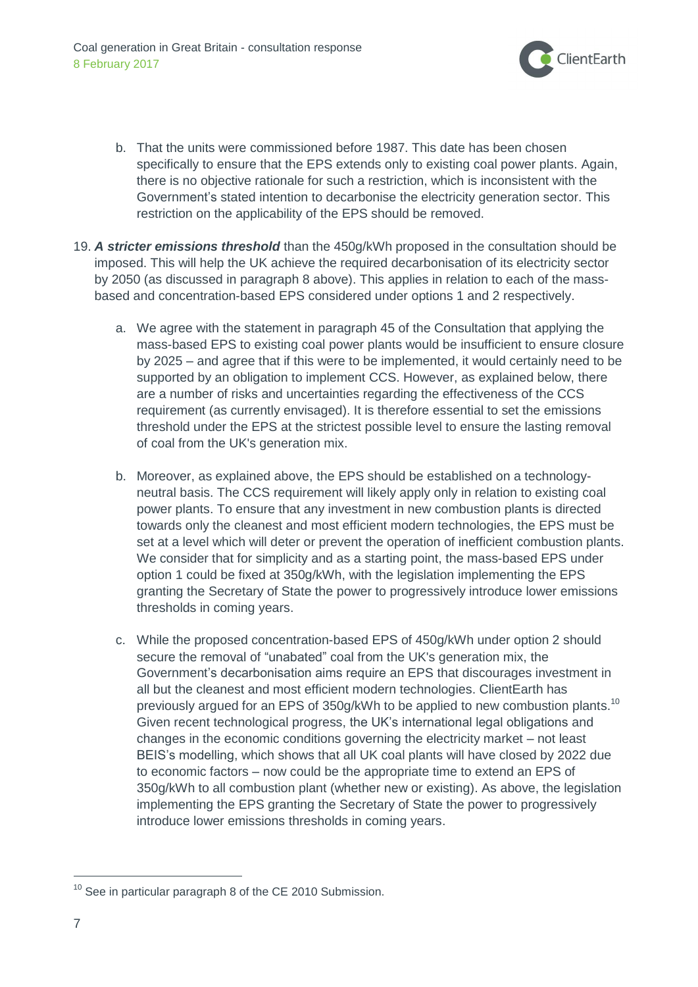

- b. That the units were commissioned before 1987. This date has been chosen specifically to ensure that the EPS extends only to existing coal power plants. Again, there is no objective rationale for such a restriction, which is inconsistent with the Government's stated intention to decarbonise the electricity generation sector. This restriction on the applicability of the EPS should be removed.
- 19. *A stricter emissions threshold* than the 450g/kWh proposed in the consultation should be imposed. This will help the UK achieve the required decarbonisation of its electricity sector by 2050 (as discussed in paragraph 8 above). This applies in relation to each of the massbased and concentration-based EPS considered under options 1 and 2 respectively.
	- a. We agree with the statement in paragraph 45 of the Consultation that applying the mass-based EPS to existing coal power plants would be insufficient to ensure closure by 2025 – and agree that if this were to be implemented, it would certainly need to be supported by an obligation to implement CCS. However, as explained below, there are a number of risks and uncertainties regarding the effectiveness of the CCS requirement (as currently envisaged). It is therefore essential to set the emissions threshold under the EPS at the strictest possible level to ensure the lasting removal of coal from the UK's generation mix.
	- b. Moreover, as explained above, the EPS should be established on a technologyneutral basis. The CCS requirement will likely apply only in relation to existing coal power plants. To ensure that any investment in new combustion plants is directed towards only the cleanest and most efficient modern technologies, the EPS must be set at a level which will deter or prevent the operation of inefficient combustion plants. We consider that for simplicity and as a starting point, the mass-based EPS under option 1 could be fixed at 350g/kWh, with the legislation implementing the EPS granting the Secretary of State the power to progressively introduce lower emissions thresholds in coming years.
	- c. While the proposed concentration-based EPS of 450g/kWh under option 2 should secure the removal of "unabated" coal from the UK's generation mix, the Government's decarbonisation aims require an EPS that discourages investment in all but the cleanest and most efficient modern technologies. ClientEarth has previously argued for an EPS of 350g/kWh to be applied to new combustion plants.<sup>10</sup> Given recent technological progress, the UK's international legal obligations and changes in the economic conditions governing the electricity market – not least BEIS's modelling, which shows that all UK coal plants will have closed by 2022 due to economic factors – now could be the appropriate time to extend an EPS of 350g/kWh to all combustion plant (whether new or existing). As above, the legislation implementing the EPS granting the Secretary of State the power to progressively introduce lower emissions thresholds in coming years.

 $10$  See in particular paragraph 8 of the CE 2010 Submission.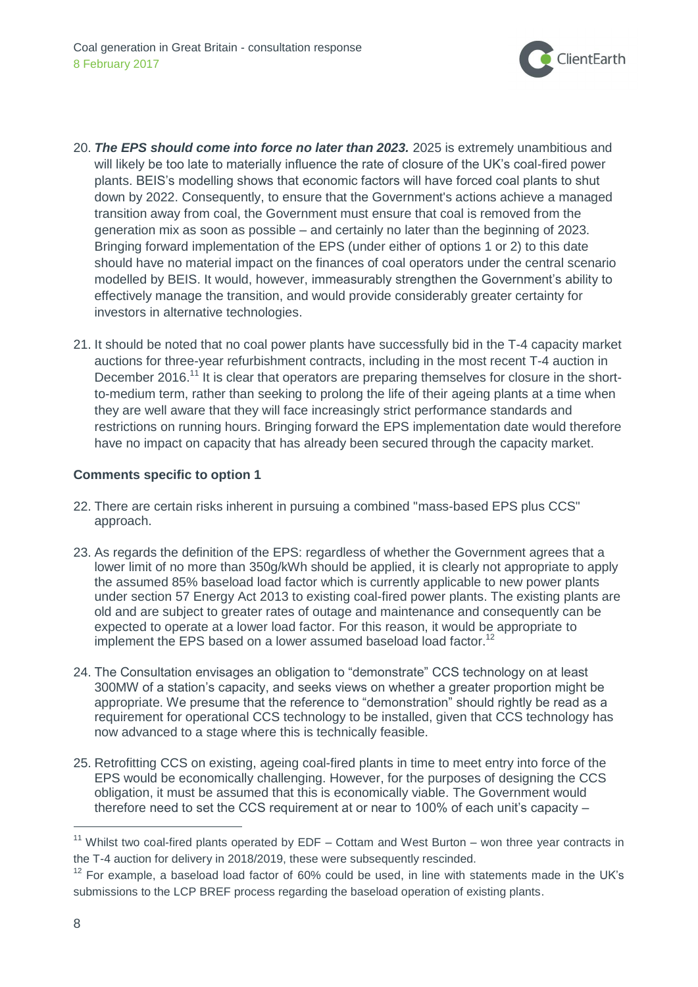

- 20. *The EPS should come into force no later than 2023.* 2025 is extremely unambitious and will likely be too late to materially influence the rate of closure of the UK's coal-fired power plants. BEIS's modelling shows that economic factors will have forced coal plants to shut down by 2022. Consequently, to ensure that the Government's actions achieve a managed transition away from coal, the Government must ensure that coal is removed from the generation mix as soon as possible – and certainly no later than the beginning of 2023. Bringing forward implementation of the EPS (under either of options 1 or 2) to this date should have no material impact on the finances of coal operators under the central scenario modelled by BEIS. It would, however, immeasurably strengthen the Government's ability to effectively manage the transition, and would provide considerably greater certainty for investors in alternative technologies.
- 21. It should be noted that no coal power plants have successfully bid in the T-4 capacity market auctions for three-year refurbishment contracts, including in the most recent T-4 auction in December 2016.<sup>11</sup> It is clear that operators are preparing themselves for closure in the shortto-medium term, rather than seeking to prolong the life of their ageing plants at a time when they are well aware that they will face increasingly strict performance standards and restrictions on running hours. Bringing forward the EPS implementation date would therefore have no impact on capacity that has already been secured through the capacity market.

## **Comments specific to option 1**

- 22. There are certain risks inherent in pursuing a combined "mass-based EPS plus CCS" approach.
- 23. As regards the definition of the EPS: regardless of whether the Government agrees that a lower limit of no more than 350g/kWh should be applied, it is clearly not appropriate to apply the assumed 85% baseload load factor which is currently applicable to new power plants under section 57 Energy Act 2013 to existing coal-fired power plants. The existing plants are old and are subject to greater rates of outage and maintenance and consequently can be expected to operate at a lower load factor. For this reason, it would be appropriate to implement the EPS based on a lower assumed baseload load factor.<sup>12</sup>
- 24. The Consultation envisages an obligation to "demonstrate" CCS technology on at least 300MW of a station's capacity, and seeks views on whether a greater proportion might be appropriate. We presume that the reference to "demonstration" should rightly be read as a requirement for operational CCS technology to be installed, given that CCS technology has now advanced to a stage where this is technically feasible.
- 25. Retrofitting CCS on existing, ageing coal-fired plants in time to meet entry into force of the EPS would be economically challenging. However, for the purposes of designing the CCS obligation, it must be assumed that this is economically viable. The Government would therefore need to set the CCS requirement at or near to 100% of each unit's capacity –

 $11$  Whilst two coal-fired plants operated by EDF – Cottam and West Burton – won three year contracts in the T-4 auction for delivery in 2018/2019, these were subsequently rescinded.

 $12$  For example, a baseload load factor of 60% could be used, in line with statements made in the UK's submissions to the LCP BREF process regarding the baseload operation of existing plants.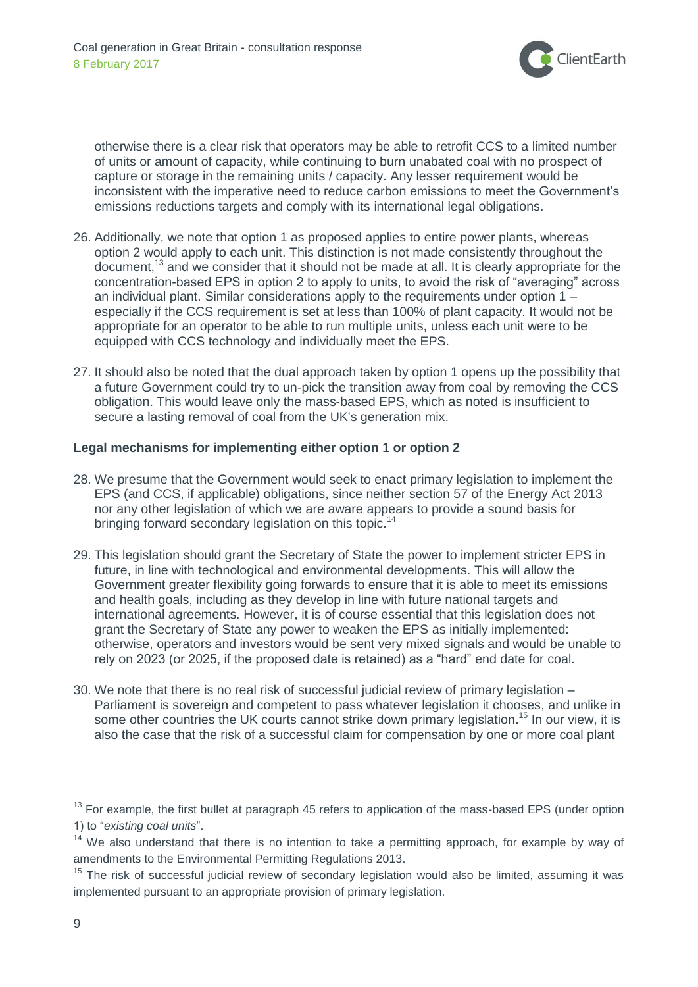

otherwise there is a clear risk that operators may be able to retrofit CCS to a limited number of units or amount of capacity, while continuing to burn unabated coal with no prospect of capture or storage in the remaining units / capacity. Any lesser requirement would be inconsistent with the imperative need to reduce carbon emissions to meet the Government's emissions reductions targets and comply with its international legal obligations.

- 26. Additionally, we note that option 1 as proposed applies to entire power plants, whereas option 2 would apply to each unit. This distinction is not made consistently throughout the document,<sup>13</sup> and we consider that it should not be made at all. It is clearly appropriate for the concentration-based EPS in option 2 to apply to units, to avoid the risk of "averaging" across an individual plant. Similar considerations apply to the requirements under option 1 – especially if the CCS requirement is set at less than 100% of plant capacity. It would not be appropriate for an operator to be able to run multiple units, unless each unit were to be equipped with CCS technology and individually meet the EPS.
- 27. It should also be noted that the dual approach taken by option 1 opens up the possibility that a future Government could try to un-pick the transition away from coal by removing the CCS obligation. This would leave only the mass-based EPS, which as noted is insufficient to secure a lasting removal of coal from the UK's generation mix.

#### **Legal mechanisms for implementing either option 1 or option 2**

- 28. We presume that the Government would seek to enact primary legislation to implement the EPS (and CCS, if applicable) obligations, since neither section 57 of the Energy Act 2013 nor any other legislation of which we are aware appears to provide a sound basis for bringing forward secondary legislation on this topic.<sup>14</sup>
- 29. This legislation should grant the Secretary of State the power to implement stricter EPS in future, in line with technological and environmental developments. This will allow the Government greater flexibility going forwards to ensure that it is able to meet its emissions and health goals, including as they develop in line with future national targets and international agreements. However, it is of course essential that this legislation does not grant the Secretary of State any power to weaken the EPS as initially implemented: otherwise, operators and investors would be sent very mixed signals and would be unable to rely on 2023 (or 2025, if the proposed date is retained) as a "hard" end date for coal.
- 30. We note that there is no real risk of successful judicial review of primary legislation Parliament is sovereign and competent to pass whatever legislation it chooses, and unlike in some other countries the UK courts cannot strike down primary legislation.<sup>15</sup> In our view, it is also the case that the risk of a successful claim for compensation by one or more coal plant

<sup>&</sup>lt;sup>13</sup> For example, the first bullet at paragraph 45 refers to application of the mass-based EPS (under option 1) to "*existing coal units*".

<sup>&</sup>lt;sup>14</sup> We also understand that there is no intention to take a permitting approach, for example by way of amendments to the Environmental Permitting Regulations 2013.

<sup>&</sup>lt;sup>15</sup> The risk of successful judicial review of secondary legislation would also be limited, assuming it was implemented pursuant to an appropriate provision of primary legislation.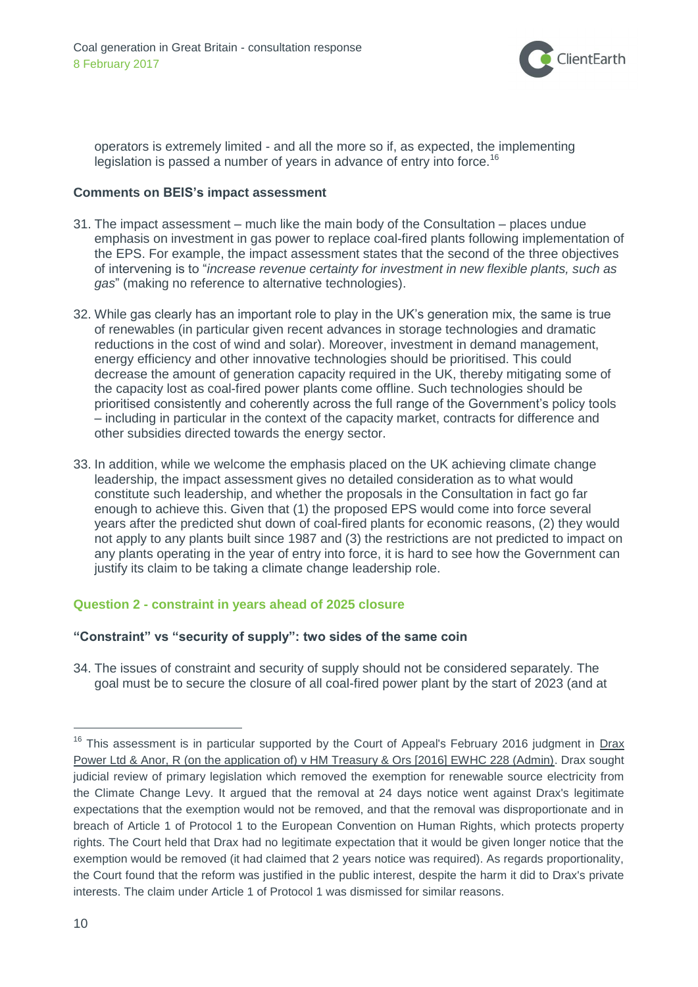

operators is extremely limited - and all the more so if, as expected, the implementing legislation is passed a number of years in advance of entry into force.<sup>16</sup>

#### **Comments on BEIS's impact assessment**

- 31. The impact assessment much like the main body of the Consultation places undue emphasis on investment in gas power to replace coal-fired plants following implementation of the EPS. For example, the impact assessment states that the second of the three objectives of intervening is to "*increase revenue certainty for investment in new flexible plants, such as gas*" (making no reference to alternative technologies).
- 32. While gas clearly has an important role to play in the UK's generation mix, the same is true of renewables (in particular given recent advances in storage technologies and dramatic reductions in the cost of wind and solar). Moreover, investment in demand management, energy efficiency and other innovative technologies should be prioritised. This could decrease the amount of generation capacity required in the UK, thereby mitigating some of the capacity lost as coal-fired power plants come offline. Such technologies should be prioritised consistently and coherently across the full range of the Government's policy tools – including in particular in the context of the capacity market, contracts for difference and other subsidies directed towards the energy sector.
- 33. In addition, while we welcome the emphasis placed on the UK achieving climate change leadership, the impact assessment gives no detailed consideration as to what would constitute such leadership, and whether the proposals in the Consultation in fact go far enough to achieve this. Given that (1) the proposed EPS would come into force several years after the predicted shut down of coal-fired plants for economic reasons, (2) they would not apply to any plants built since 1987 and (3) the restrictions are not predicted to impact on any plants operating in the year of entry into force, it is hard to see how the Government can justify its claim to be taking a climate change leadership role.

#### **Question 2 - constraint in years ahead of 2025 closure**

#### **"Constraint" vs "security of supply": two sides of the same coin**

34. The issues of constraint and security of supply should not be considered separately. The goal must be to secure the closure of all coal-fired power plant by the start of 2023 (and at

<sup>&</sup>lt;sup>16</sup> This assessment is in particular supported by the Court of Appeal's February 2016 judgment in Drax [Power Ltd & Anor, R \(on the application of\) v HM Treasury & Ors \[2016\] EWHC 228 \(Admin\).](http://www.bailii.org/ew/cases/EWHC/Admin/2016/228.html) Drax sought judicial review of primary legislation which removed the exemption for renewable source electricity from the Climate Change Levy. It argued that the removal at 24 days notice went against Drax's legitimate expectations that the exemption would not be removed, and that the removal was disproportionate and in breach of Article 1 of Protocol 1 to the European Convention on Human Rights, which protects property rights. The Court held that Drax had no legitimate expectation that it would be given longer notice that the exemption would be removed (it had claimed that 2 years notice was required). As regards proportionality, the Court found that the reform was justified in the public interest, despite the harm it did to Drax's private interests. The claim under Article 1 of Protocol 1 was dismissed for similar reasons.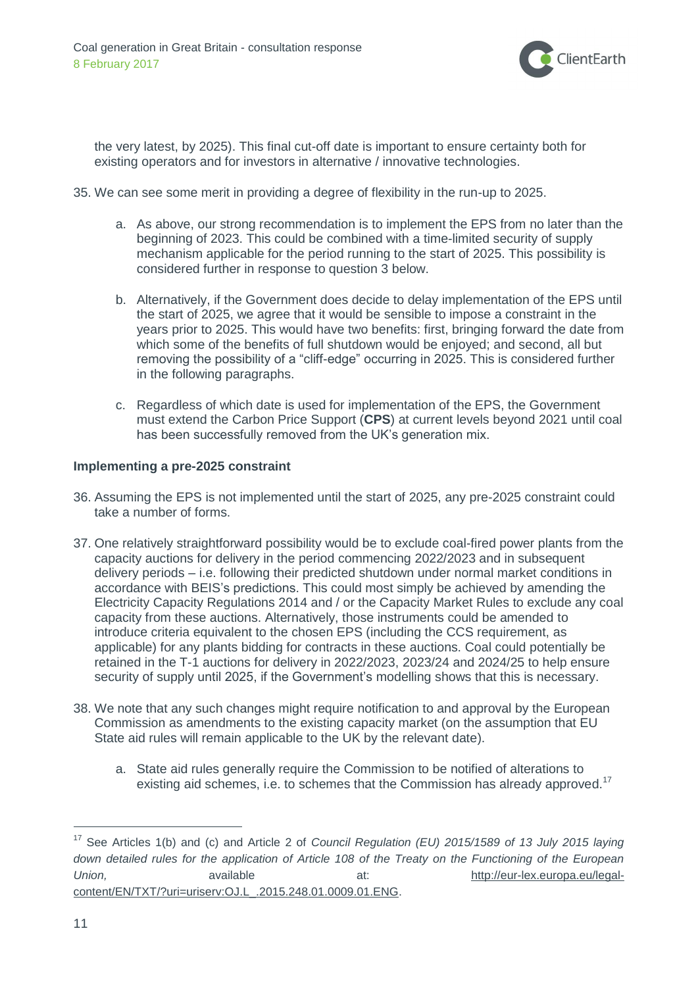

the very latest, by 2025). This final cut-off date is important to ensure certainty both for existing operators and for investors in alternative / innovative technologies.

- 35. We can see some merit in providing a degree of flexibility in the run-up to 2025.
	- a. As above, our strong recommendation is to implement the EPS from no later than the beginning of 2023. This could be combined with a time-limited security of supply mechanism applicable for the period running to the start of 2025. This possibility is considered further in response to question 3 below.
	- b. Alternatively, if the Government does decide to delay implementation of the EPS until the start of 2025, we agree that it would be sensible to impose a constraint in the years prior to 2025. This would have two benefits: first, bringing forward the date from which some of the benefits of full shutdown would be enjoyed; and second, all but removing the possibility of a "cliff-edge" occurring in 2025. This is considered further in the following paragraphs.
	- c. Regardless of which date is used for implementation of the EPS, the Government must extend the Carbon Price Support (**CPS**) at current levels beyond 2021 until coal has been successfully removed from the UK's generation mix.

#### **Implementing a pre-2025 constraint**

- 36. Assuming the EPS is not implemented until the start of 2025, any pre-2025 constraint could take a number of forms.
- 37. One relatively straightforward possibility would be to exclude coal-fired power plants from the capacity auctions for delivery in the period commencing 2022/2023 and in subsequent delivery periods – i.e. following their predicted shutdown under normal market conditions in accordance with BEIS's predictions. This could most simply be achieved by amending the Electricity Capacity Regulations 2014 and / or the Capacity Market Rules to exclude any coal capacity from these auctions. Alternatively, those instruments could be amended to introduce criteria equivalent to the chosen EPS (including the CCS requirement, as applicable) for any plants bidding for contracts in these auctions. Coal could potentially be retained in the T-1 auctions for delivery in 2022/2023, 2023/24 and 2024/25 to help ensure security of supply until 2025, if the Government's modelling shows that this is necessary.
- 38. We note that any such changes might require notification to and approval by the European Commission as amendments to the existing capacity market (on the assumption that EU State aid rules will remain applicable to the UK by the relevant date).
	- a. State aid rules generally require the Commission to be notified of alterations to existing aid schemes, i.e. to schemes that the Commission has already approved.<sup>17</sup>

<sup>17</sup> See Articles 1(b) and (c) and Article 2 of *Council Regulation (EU) 2015/1589 of 13 July 2015 laying down detailed rules for the application of Article 108 of the Treaty on the Functioning of the European Union,* available at: [http://eur-lex.europa.eu/legal](http://eur-lex.europa.eu/legal-content/EN/TXT/?uri=uriserv:OJ.L_.2015.248.01.0009.01.ENG)[content/EN/TXT/?uri=uriserv:OJ.L\\_.2015.248.01.0009.01.ENG.](http://eur-lex.europa.eu/legal-content/EN/TXT/?uri=uriserv:OJ.L_.2015.248.01.0009.01.ENG)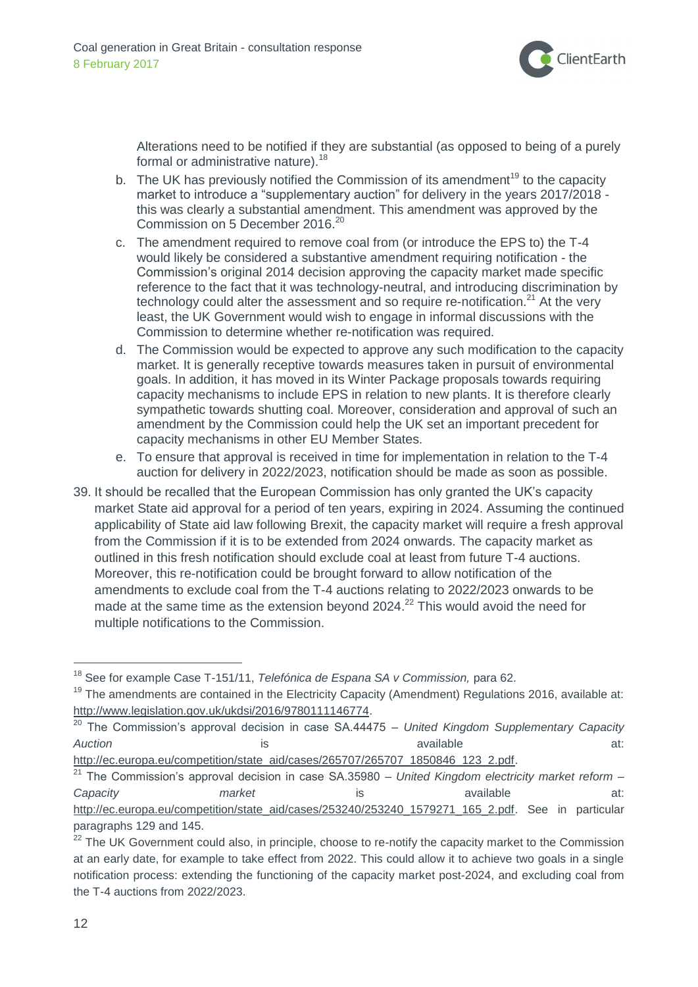

Alterations need to be notified if they are substantial (as opposed to being of a purely formal or administrative nature).<sup>18</sup>

- b. The UK has previously notified the Commission of its amendment<sup>19</sup> to the capacity market to introduce a "supplementary auction" for delivery in the years 2017/2018 this was clearly a substantial amendment. This amendment was approved by the Commission on 5 December 2016.<sup>20</sup>
- c. The amendment required to remove coal from (or introduce the EPS to) the T-4 would likely be considered a substantive amendment requiring notification - the Commission's original 2014 decision approving the capacity market made specific reference to the fact that it was technology-neutral, and introducing discrimination by technology could alter the assessment and so require re-notification.<sup>21</sup> At the very least, the UK Government would wish to engage in informal discussions with the Commission to determine whether re-notification was required.
- d. The Commission would be expected to approve any such modification to the capacity market. It is generally receptive towards measures taken in pursuit of environmental goals. In addition, it has moved in its Winter Package proposals towards requiring capacity mechanisms to include EPS in relation to new plants. It is therefore clearly sympathetic towards shutting coal. Moreover, consideration and approval of such an amendment by the Commission could help the UK set an important precedent for capacity mechanisms in other EU Member States.
- e. To ensure that approval is received in time for implementation in relation to the T-4 auction for delivery in 2022/2023, notification should be made as soon as possible.
- 39. It should be recalled that the European Commission has only granted the UK's capacity market State aid approval for a period of ten years, expiring in 2024. Assuming the continued applicability of State aid law following Brexit, the capacity market will require a fresh approval from the Commission if it is to be extended from 2024 onwards. The capacity market as outlined in this fresh notification should exclude coal at least from future T-4 auctions. Moreover, this re-notification could be brought forward to allow notification of the amendments to exclude coal from the T-4 auctions relating to 2022/2023 onwards to be made at the same time as the extension beyond 2024.<sup>22</sup> This would avoid the need for multiple notifications to the Commission.

<sup>18</sup> See for example Case T-151/11, *Telefónica de Espana SA v Commission,* para 62.

 $19$  The amendments are contained in the Electricity Capacity (Amendment) Regulations 2016, available at: [http://www.legislation.gov.uk/ukdsi/2016/9780111146774.](http://www.legislation.gov.uk/ukdsi/2016/9780111146774)

<sup>20</sup> The Commission's approval decision in case SA.44475 *– United Kingdom Supplementary Capacity*  Auction and a set of the set of the set of the set of the set of the set of the set of the set of the set of the set of the set of the set of the set of the set of the set of the set of the set of the set of the set of the

[http://ec.europa.eu/competition/state\\_aid/cases/265707/265707\\_1850846\\_123\\_2.pdf.](http://ec.europa.eu/competition/state_aid/cases/265707/265707_1850846_123_2.pdf)

<sup>21</sup> The Commission's approval decision in case SA.35980 *– United Kingdom electricity market reform – Capacity* and *market* is available at: [http://ec.europa.eu/competition/state\\_aid/cases/253240/253240\\_1579271\\_165\\_2.pdf.](http://ec.europa.eu/competition/state_aid/cases/253240/253240_1579271_165_2.pdf) See in particular paragraphs 129 and 145.

<sup>&</sup>lt;sup>22</sup> The UK Government could also, in principle, choose to re-notify the capacity market to the Commission at an early date, for example to take effect from 2022. This could allow it to achieve two goals in a single notification process: extending the functioning of the capacity market post-2024, and excluding coal from the T-4 auctions from 2022/2023.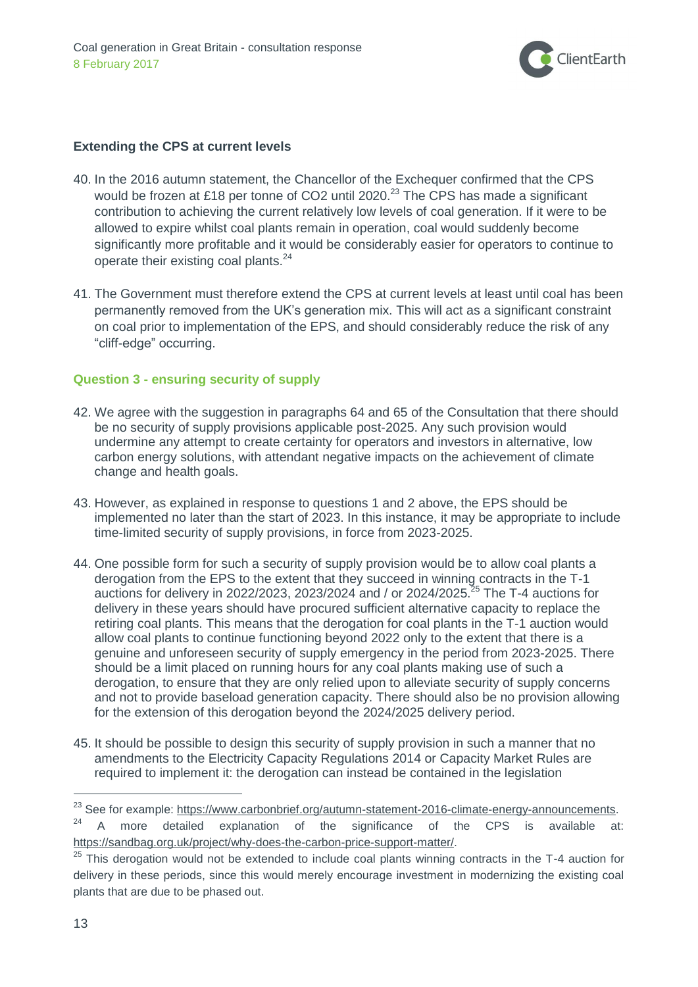

## **Extending the CPS at current levels**

- 40. In the 2016 autumn statement, the Chancellor of the Exchequer confirmed that the CPS would be frozen at £18 per tonne of CO2 until 2020. $^{23}$  The CPS has made a significant contribution to achieving the current relatively low levels of coal generation. If it were to be allowed to expire whilst coal plants remain in operation, coal would suddenly become significantly more profitable and it would be considerably easier for operators to continue to operate their existing coal plants.<sup>24</sup>
- 41. The Government must therefore extend the CPS at current levels at least until coal has been permanently removed from the UK's generation mix. This will act as a significant constraint on coal prior to implementation of the EPS, and should considerably reduce the risk of any "cliff-edge" occurring.

## **Question 3 - ensuring security of supply**

- 42. We agree with the suggestion in paragraphs 64 and 65 of the Consultation that there should be no security of supply provisions applicable post-2025. Any such provision would undermine any attempt to create certainty for operators and investors in alternative, low carbon energy solutions, with attendant negative impacts on the achievement of climate change and health goals.
- 43. However, as explained in response to questions 1 and 2 above, the EPS should be implemented no later than the start of 2023. In this instance, it may be appropriate to include time-limited security of supply provisions, in force from 2023-2025.
- 44. One possible form for such a security of supply provision would be to allow coal plants a derogation from the EPS to the extent that they succeed in winning contracts in the T-1 auctions for delivery in 2022/2023, 2023/2024 and / or 2024/2025.<sup>25</sup> The T-4 auctions for delivery in these years should have procured sufficient alternative capacity to replace the retiring coal plants. This means that the derogation for coal plants in the T-1 auction would allow coal plants to continue functioning beyond 2022 only to the extent that there is a genuine and unforeseen security of supply emergency in the period from 2023-2025. There should be a limit placed on running hours for any coal plants making use of such a derogation, to ensure that they are only relied upon to alleviate security of supply concerns and not to provide baseload generation capacity. There should also be no provision allowing for the extension of this derogation beyond the 2024/2025 delivery period.
- 45. It should be possible to design this security of supply provision in such a manner that no amendments to the Electricity Capacity Regulations 2014 or Capacity Market Rules are required to implement it: the derogation can instead be contained in the legislation

<sup>&</sup>lt;sup>23</sup> See for example: https://www<u>.carbonbrief.org/autumn-statement-2016-climate-energy-announcements</u>.

A more detailed explanation of the significance of the CPS is available at: [https://sandbag.org.uk/project/why-does-the-carbon-price-support-matter/.](https://sandbag.org.uk/project/why-does-the-carbon-price-support-matter/)

 $25$  This derogation would not be extended to include coal plants winning contracts in the T-4 auction for delivery in these periods, since this would merely encourage investment in modernizing the existing coal plants that are due to be phased out.